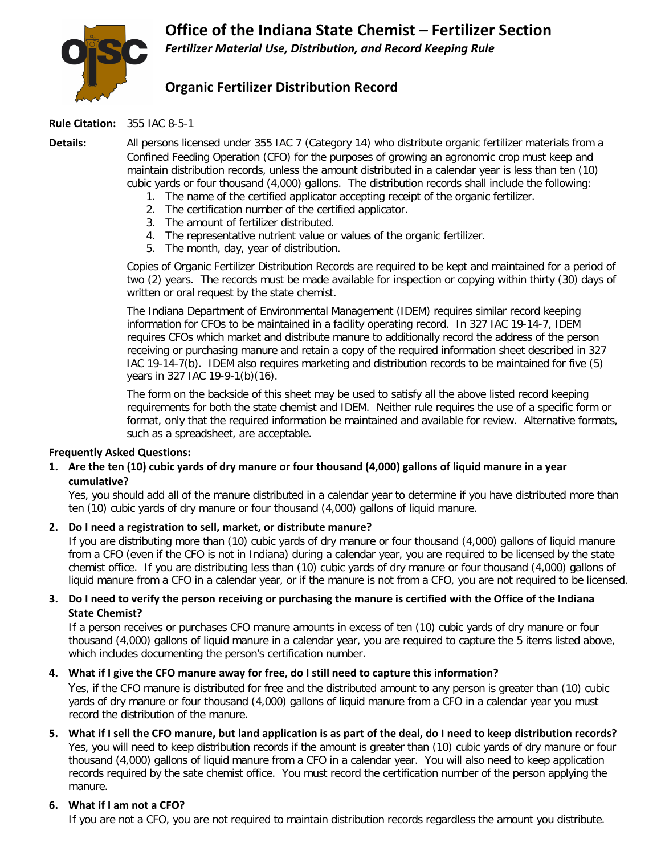

# **Organic Fertilizer Distribution Record**

#### **Rule Citation:** 355 IAC 8-5-1

**Details:** All persons licensed under 355 IAC 7 (Category 14) who distribute organic fertilizer materials from a Confined Feeding Operation (CFO) for the purposes of growing an agronomic crop must keep and maintain distribution records, unless the amount distributed in a calendar year is less than ten (10) cubic yards or four thousand (4,000) gallons. The distribution records shall include the following:

- 1. The name of the certified applicator accepting receipt of the organic fertilizer.
- 2. The certification number of the certified applicator.
- 3. The amount of fertilizer distributed.
- 4. The representative nutrient value or values of the organic fertilizer.
- 5. The month, day, year of distribution.

Copies of Organic Fertilizer Distribution Records are required to be kept and maintained for a period of two (2) years. The records must be made available for inspection or copying within thirty (30) days of written or oral request by the state chemist.

The Indiana Department of Environmental Management (IDEM) requires similar record keeping information for CFOs to be maintained in a facility operating record. In 327 IAC 19-14-7, IDEM requires CFOs which market and distribute manure to additionally record the address of the person receiving or purchasing manure and retain a copy of the required information sheet described in 327 IAC 19-14-7(b). IDEM also requires marketing and distribution records to be maintained for five (5) years in 327 IAC 19-9-1(b)(16).

The form on the backside of this sheet may be used to satisfy all the above listed record keeping requirements for both the state chemist and IDEM. Neither rule requires the use of a specific form or format, only that the required information be maintained and available for review. Alternative formats, such as a spreadsheet, are acceptable.

## **Frequently Asked Questions:**

## **1. Are the ten (10) cubic yards of dry manure or four thousand (4,000) gallons of liquid manure in a year cumulative?**

Yes, you should add all of the manure distributed in a calendar year to determine if you have distributed more than ten (10) cubic yards of dry manure or four thousand (4,000) gallons of liquid manure.

## **2. Do I need a registration to sell, market, or distribute manure?**

If you are distributing more than (10) cubic yards of dry manure or four thousand (4,000) gallons of liquid manure from a CFO (even if the CFO is not in Indiana) during a calendar year, you are required to be licensed by the state chemist office. If you are distributing less than (10) cubic yards of dry manure or four thousand (4,000) gallons of liquid manure from a CFO in a calendar year, or if the manure is not from a CFO, you are not required to be licensed.

#### **3. Do I need to verify the person receiving or purchasing the manure is certified with the Office of the Indiana State Chemist?**

If a person receives or purchases CFO manure amounts in excess of ten (10) cubic yards of dry manure or four thousand (4,000) gallons of liquid manure in a calendar year, you are required to capture the 5 items listed above, which includes documenting the person's certification number.

## **4. What if I give the CFO manure away for free, do I still need to capture this information?**

Yes, if the CFO manure is distributed for free and the distributed amount to any person is greater than (10) cubic yards of dry manure or four thousand (4,000) gallons of liquid manure from a CFO in a calendar year you must record the distribution of the manure.

## **5. What if I sell the CFO manure, but land application is as part of the deal, do I need to keep distribution records?**

Yes, you will need to keep distribution records if the amount is greater than (10) cubic yards of dry manure or four thousand (4,000) gallons of liquid manure from a CFO in a calendar year. You will also need to keep application records required by the sate chemist office. You must record the certification number of the person applying the manure.

## **6. What if I am not a CFO?**

If you are not a CFO, you are not required to maintain distribution records regardless the amount you distribute.